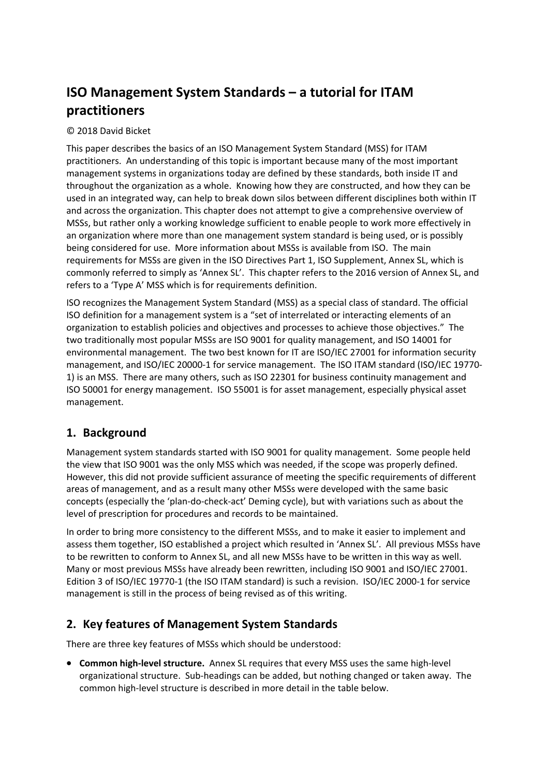# **ISO Management System Standards – a tutorial for ITAM practitioners**

#### © 2018 David Bicket

This paper describes the basics of an ISO Management System Standard (MSS) for ITAM practitioners. An understanding of this topic is important because many of the most important management systems in organizations today are defined by these standards, both inside IT and throughout the organization as a whole. Knowing how they are constructed, and how they can be used in an integrated way, can help to break down silos between different disciplines both within IT and across the organization. This chapter does not attempt to give a comprehensive overview of MSSs, but rather only a working knowledge sufficient to enable people to work more effectively in an organization where more than one management system standard is being used, or is possibly being considered for use. More information about MSSs is available from ISO. The main requirements for MSSs are given in the ISO Directives Part 1, ISO Supplement, Annex SL, which is commonly referred to simply as 'Annex SL'. This chapter refers to the 2016 version of Annex SL, and refers to a 'Type A' MSS which is for requirements definition.

ISO recognizes the Management System Standard (MSS) as a special class of standard. The official ISO definition for a management system is a "set of interrelated or interacting elements of an organization to establish policies and objectives and processes to achieve those objectives." The two traditionally most popular MSSs are ISO 9001 for quality management, and ISO 14001 for environmental management. The two best known for IT are ISO/IEC 27001 for information security management, and ISO/IEC 20000-1 for service management. The ISO ITAM standard (ISO/IEC 19770-1) is an MSS. There are many others, such as ISO 22301 for business continuity management and ISO 50001 for energy management. ISO 55001 is for asset management, especially physical asset management.

#### **1. Background**

Management system standards started with ISO 9001 for quality management. Some people held the view that ISO 9001 was the only MSS which was needed, if the scope was properly defined. However, this did not provide sufficient assurance of meeting the specific requirements of different areas of management, and as a result many other MSSs were developed with the same basic concepts (especially the 'plan‐do‐check‐act' Deming cycle), but with variations such as about the level of prescription for procedures and records to be maintained.

In order to bring more consistency to the different MSSs, and to make it easier to implement and assess them together, ISO established a project which resulted in 'Annex SL'. All previous MSSs have to be rewritten to conform to Annex SL, and all new MSSs have to be written in this way as well. Many or most previous MSSs have already been rewritten, including ISO 9001 and ISO/IEC 27001. Edition 3 of ISO/IEC 19770‐1 (the ISO ITAM standard) is such a revision. ISO/IEC 2000‐1 for service management is still in the process of being revised as of this writing.

### **2. Key features of Management System Standards**

There are three key features of MSSs which should be understood:

**■ Common high-level structure.** Annex SL requires that every MSS uses the same high-level organizational structure. Sub‐headings can be added, but nothing changed or taken away. The common high‐level structure is described in more detail in the table below.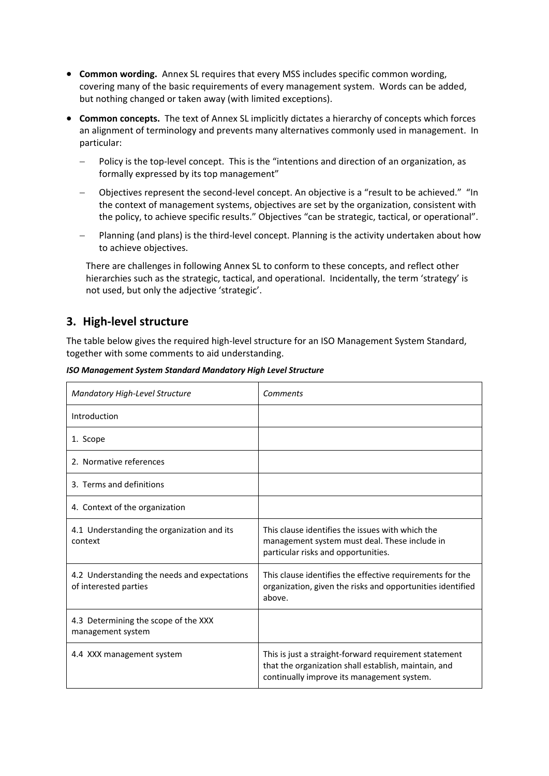- **Common wording.** Annex SL requires that every MSS includes specific common wording, covering many of the basic requirements of every management system. Words can be added, but nothing changed or taken away (with limited exceptions).
- **Common concepts.** The text of Annex SL implicitly dictates a hierarchy of concepts which forces an alignment of terminology and prevents many alternatives commonly used in management. In particular:
	- Policy is the top-level concept. This is the "intentions and direction of an organization, as formally expressed by its top management"
	- Objectives represent the second-level concept. An objective is a "result to be achieved." "In the context of management systems, objectives are set by the organization, consistent with the policy, to achieve specific results." Objectives "can be strategic, tactical, or operational".
	- Planning (and plans) is the third‐level concept. Planning is the activity undertaken about how to achieve objectives.

There are challenges in following Annex SL to conform to these concepts, and reflect other hierarchies such as the strategic, tactical, and operational. Incidentally, the term 'strategy' is not used, but only the adjective 'strategic'.

#### **3. High‐level structure**

The table below gives the required high-level structure for an ISO Management System Standard, together with some comments to aid understanding.

| Mandatory High-Level Structure                                        | Comments                                                                                                                                                    |
|-----------------------------------------------------------------------|-------------------------------------------------------------------------------------------------------------------------------------------------------------|
| Introduction                                                          |                                                                                                                                                             |
| 1. Scope                                                              |                                                                                                                                                             |
| 2. Normative references                                               |                                                                                                                                                             |
| 3. Terms and definitions                                              |                                                                                                                                                             |
| 4. Context of the organization                                        |                                                                                                                                                             |
| 4.1 Understanding the organization and its<br>context                 | This clause identifies the issues with which the<br>management system must deal. These include in<br>particular risks and opportunities.                    |
| 4.2 Understanding the needs and expectations<br>of interested parties | This clause identifies the effective requirements for the<br>organization, given the risks and opportunities identified<br>above.                           |
| 4.3 Determining the scope of the XXX<br>management system             |                                                                                                                                                             |
| 4.4 XXX management system                                             | This is just a straight-forward requirement statement<br>that the organization shall establish, maintain, and<br>continually improve its management system. |

*ISO Management System Standard Mandatory High Level Structure*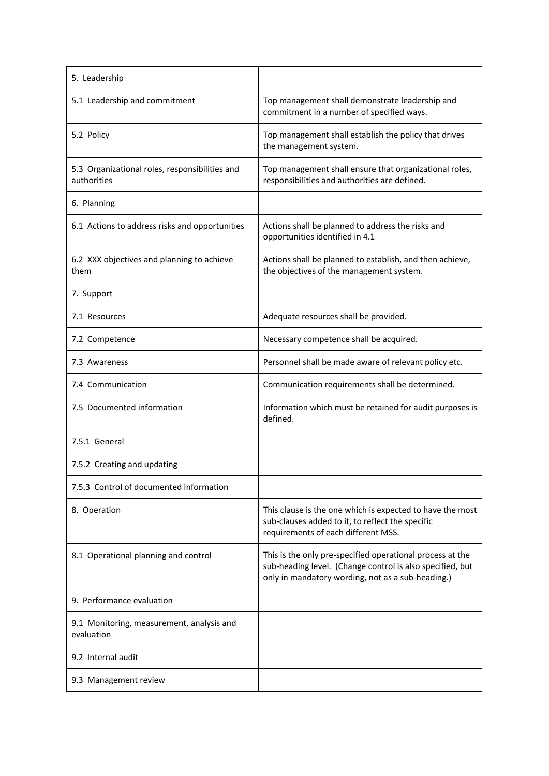| 5. Leadership                                                 |                                                                                                                                                                             |
|---------------------------------------------------------------|-----------------------------------------------------------------------------------------------------------------------------------------------------------------------------|
| 5.1 Leadership and commitment                                 | Top management shall demonstrate leadership and<br>commitment in a number of specified ways.                                                                                |
| 5.2 Policy                                                    | Top management shall establish the policy that drives<br>the management system.                                                                                             |
| 5.3 Organizational roles, responsibilities and<br>authorities | Top management shall ensure that organizational roles,<br>responsibilities and authorities are defined.                                                                     |
| 6. Planning                                                   |                                                                                                                                                                             |
| 6.1 Actions to address risks and opportunities                | Actions shall be planned to address the risks and<br>opportunities identified in 4.1                                                                                        |
| 6.2 XXX objectives and planning to achieve<br>them            | Actions shall be planned to establish, and then achieve,<br>the objectives of the management system.                                                                        |
| 7. Support                                                    |                                                                                                                                                                             |
| 7.1 Resources                                                 | Adequate resources shall be provided.                                                                                                                                       |
| 7.2 Competence                                                | Necessary competence shall be acquired.                                                                                                                                     |
| 7.3 Awareness                                                 | Personnel shall be made aware of relevant policy etc.                                                                                                                       |
| 7.4 Communication                                             | Communication requirements shall be determined.                                                                                                                             |
| 7.5 Documented information                                    | Information which must be retained for audit purposes is<br>defined.                                                                                                        |
| 7.5.1 General                                                 |                                                                                                                                                                             |
| 7.5.2 Creating and updating                                   |                                                                                                                                                                             |
| 7.5.3 Control of documented information                       |                                                                                                                                                                             |
| 8. Operation                                                  | This clause is the one which is expected to have the most<br>sub-clauses added to it, to reflect the specific<br>requirements of each different MSS.                        |
| 8.1 Operational planning and control                          | This is the only pre-specified operational process at the<br>sub-heading level. (Change control is also specified, but<br>only in mandatory wording, not as a sub-heading.) |
| 9. Performance evaluation                                     |                                                                                                                                                                             |
| 9.1 Monitoring, measurement, analysis and<br>evaluation       |                                                                                                                                                                             |
| 9.2 Internal audit                                            |                                                                                                                                                                             |
| 9.3 Management review                                         |                                                                                                                                                                             |